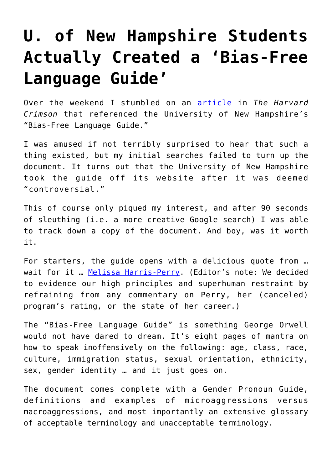## **[U. of New Hampshire Students](https://intellectualtakeout.org/2016/04/u-of-new-hampshire-students-actually-created-a-bias-free-language-guide/) [Actually Created a 'Bias-Free](https://intellectualtakeout.org/2016/04/u-of-new-hampshire-students-actually-created-a-bias-free-language-guide/) [Language Guide'](https://intellectualtakeout.org/2016/04/u-of-new-hampshire-students-actually-created-a-bias-free-language-guide/)**

Over the weekend I stumbled on an [article](http://www.thecrimson.com/article/2016/3/23/culture-of-sensitivity/) in *The Harvard Crimson* that referenced the University of New Hampshire's "Bias-Free Language Guide."

I was amused if not terribly surprised to hear that such a thing existed, but my initial searches failed to turn up the document. It turns out that the University of New Hampshire took the guide off its website after it was deemed "controversial."

This of course only piqued my interest, and after 90 seconds of sleuthing (i.e. a more creative Google search) I was able to track down a copy of the document. And boy, was it worth it.

For starters, the guide opens with a delicious quote from … wait for it ... [Melissa Harris-Perry](http://www.thedailybeast.com/articles/2016/03/14/melissa-harris-perry-compares-msnbc-to-a-cheating-boyfriend-on-the-view.html). (Editor's note: We decided to evidence our high principles and superhuman restraint by refraining from any commentary on Perry, her (canceled) program's rating, or the state of her career.)

The "Bias-Free Language Guide" is something George Orwell would not have dared to dream. It's eight pages of mantra on how to speak inoffensively on the following: age, class, race, culture, immigration status, sexual orientation, ethnicity, sex, gender identity … and it just goes on.

The document comes complete with a Gender Pronoun Guide, definitions and examples of microaggressions versus macroaggressions, and most importantly an extensive glossary of acceptable terminology and unacceptable terminology.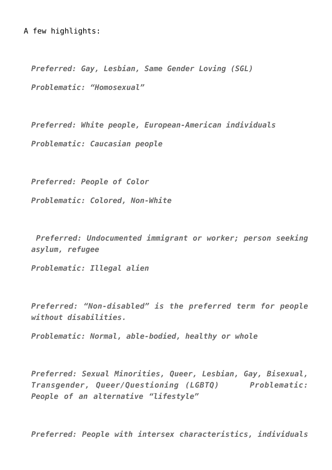## A few highlights:

*Preferred: Gay, Lesbian, Same Gender Loving (SGL) Problematic: "Homosexual"*

*Preferred: White people, European-American individuals Problematic: Caucasian people*

*Preferred: People of Color Problematic: Colored, Non-White*

 *Preferred: Undocumented immigrant or worker; person seeking asylum, refugee* 

*Problematic: Illegal alien*

*Preferred: "Non-disabled" is the preferred term for people without disabilities.* 

*Problematic: Normal, able-bodied, healthy or whole*

*Preferred: Sexual Minorities, Queer, Lesbian, Gay, Bisexual, Transgender, Queer/Questioning (LGBTQ) Problematic: People of an alternative "lifestyle"*

*Preferred: People with intersex characteristics, individuals*